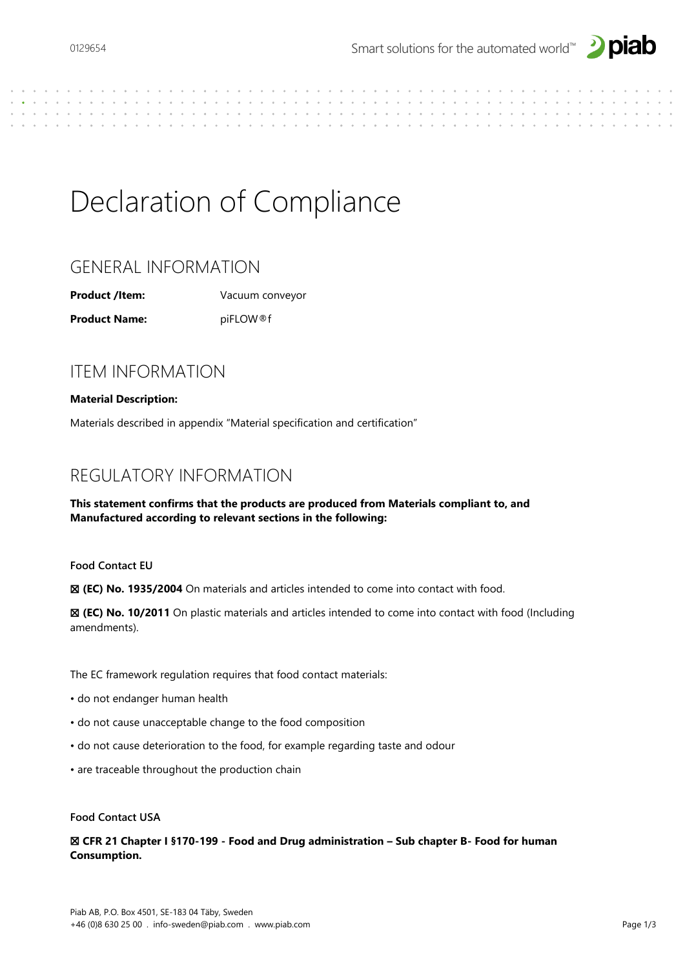

# Declaration of Compliance

# GENERAL INFORMATION

**Product /Item:** Vacuum conveyor

**Product Name:** piFLOW®f

# ITEM INFORMATION

### **Material Description:**

Materials described in appendix "Material specification and certification"

# REGULATORY INFORMATION

### **This statement confirms that the products are produced from Materials compliant to, and Manufactured according to relevant sections in the following:**

**Food Contact EU** 

☒ **(EC) No. 1935/2004** On materials and articles intended to come into contact with food.

☒ **(EC) No. 10/2011** On plastic materials and articles intended to come into contact with food (Including amendments).

The EC framework regulation requires that food contact materials:

- do not endanger human health
- do not cause unacceptable change to the food composition
- do not cause deterioration to the food, for example regarding taste and odour
- are traceable throughout the production chain

#### **Food Contact USA**

☒ **CFR 21 Chapter I §170-199 - Food and Drug administration – Sub chapter B- Food for human Consumption.**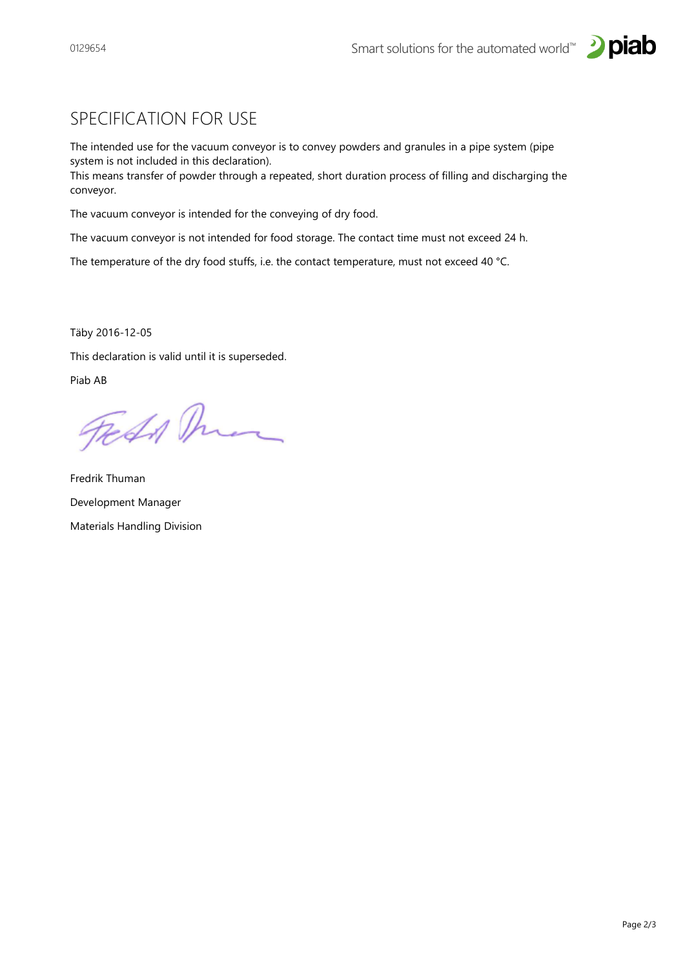



### SPECIFICATION FOR USE

The intended use for the vacuum conveyor is to convey powders and granules in a pipe system (pipe system is not included in this declaration).

This means transfer of powder through a repeated, short duration process of filling and discharging the conveyor.

The vacuum conveyor is intended for the conveying of dry food.

The vacuum conveyor is not intended for food storage. The contact time must not exceed 24 h.

The temperature of the dry food stuffs, i.e. the contact temperature, must not exceed 40 °C.

Täby 2016-12-05

This declaration is valid until it is superseded.

Piab AB

Fedd Man

Fredrik Thuman Development Manager Materials Handling Division